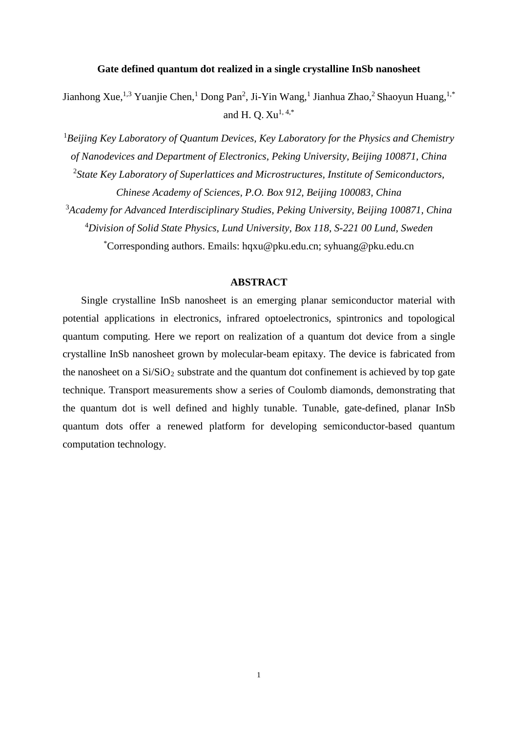## **Gate defined quantum dot realized in a single crystalline InSb nanosheet**

Jianhong Xue,<sup>1,3</sup> Yuanjie Chen,<sup>1</sup> Dong Pan<sup>2</sup>, Ji-Yin Wang,<sup>1</sup> Jianhua Zhao,<sup>2</sup> Shaoyun Huang,<sup>1,\*</sup> and H. O.  $Xu^{1,4,*}$ 

1 *Beijing Key Laboratory of Quantum Devices, Key Laboratory for the Physics and Chemistry of Nanodevices and Department of Electronics, Peking University, Beijing 100871, China* 2 *State Key Laboratory of Superlattices and Microstructures, Institute of Semiconductors, Chinese Academy of Sciences, P.O. Box 912, Beijing 100083, China* 3 *Academy for Advanced Interdisciplinary Studies, Peking University, Beijing 100871, China* 4 *Division of Solid State Physics, Lund University, Box 118, S-221 00 Lund, Sweden* \* Corresponding authors. Emails: hqxu@pku.edu.cn; syhuang@pku.edu.cn

## **ABSTRACT**

Single crystalline InSb nanosheet is an emerging planar semiconductor material with potential applications in electronics, infrared optoelectronics, spintronics and topological quantum computing. Here we report on realization of a quantum dot device from a single crystalline InSb nanosheet grown by molecular-beam epitaxy. The device is fabricated from the nanosheet on a  $Si/SiO<sub>2</sub>$  substrate and the quantum dot confinement is achieved by top gate technique. Transport measurements show a series of Coulomb diamonds, demonstrating that the quantum dot is well defined and highly tunable. Tunable, gate-defined, planar InSb quantum dots offer a renewed platform for developing semiconductor-based quantum computation technology.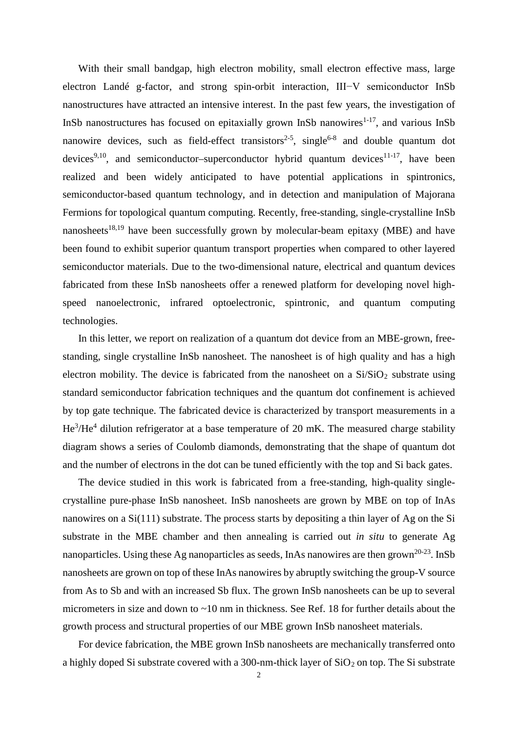With their small bandgap, high electron mobility, small electron effective mass, large electron Landé g-factor, and strong spin-orbit interaction, III−V semiconductor InSb nanostructures have attracted an intensive interest. In the past few years, the investigation of InSb nanostructures has focused on epitaxially grown InSb nanowires $1-17$ , and various InSb nanowire devices, such as field-effect transistors<sup>2-5</sup>, single<sup>6-8</sup> and double quantum dot devices<sup>9,10</sup>, and semiconductor–superconductor hybrid quantum devices<sup>11-17</sup>, have been realized and been widely anticipated to have potential applications in spintronics, semiconductor-based quantum technology, and in detection and manipulation of Majorana Fermions for topological quantum computing. Recently, free-standing, single-crystalline InSb nanosheets<sup>18,19</sup> have been successfully grown by molecular-beam epitaxy (MBE) and have been found to exhibit superior quantum transport properties when compared to other layered semiconductor materials. Due to the two-dimensional nature, electrical and quantum devices fabricated from these InSb nanosheets offer a renewed platform for developing novel highspeed nanoelectronic, infrared optoelectronic, spintronic, and quantum computing technologies.

In this letter, we report on realization of a quantum dot device from an MBE-grown, freestanding, single crystalline InSb nanosheet. The nanosheet is of high quality and has a high electron mobility. The device is fabricated from the nanosheet on a  $Si/SiO<sub>2</sub>$  substrate using standard semiconductor fabrication techniques and the quantum dot confinement is achieved by top gate technique. The fabricated device is characterized by transport measurements in a  $He^{3}/He^{4}$  dilution refrigerator at a base temperature of 20 mK. The measured charge stability diagram shows a series of Coulomb diamonds, demonstrating that the shape of quantum dot and the number of electrons in the dot can be tuned efficiently with the top and Si back gates.

The device studied in this work is fabricated from a free-standing, high-quality singlecrystalline pure-phase InSb nanosheet. InSb nanosheets are grown by MBE on top of InAs nanowires on a Si(111) substrate. The process starts by depositing a thin layer of Ag on the Si substrate in the MBE chamber and then annealing is carried out *in situ* to generate Ag nanoparticles. Using these Ag nanoparticles as seeds, InAs nanowires are then grown<sup>20-23</sup>. InSb nanosheets are grown on top of these InAs nanowires by abruptly switching the group-V source from As to Sb and with an increased Sb flux. The grown InSb nanosheets can be up to several micrometers in size and down to ~10 nm in thickness. See Ref. 18 for further details about the growth process and structural properties of our MBE grown InSb nanosheet materials.

For device fabrication, the MBE grown InSb nanosheets are mechanically transferred onto a highly doped Si substrate covered with a 300-nm-thick layer of  $SiO<sub>2</sub>$  on top. The Si substrate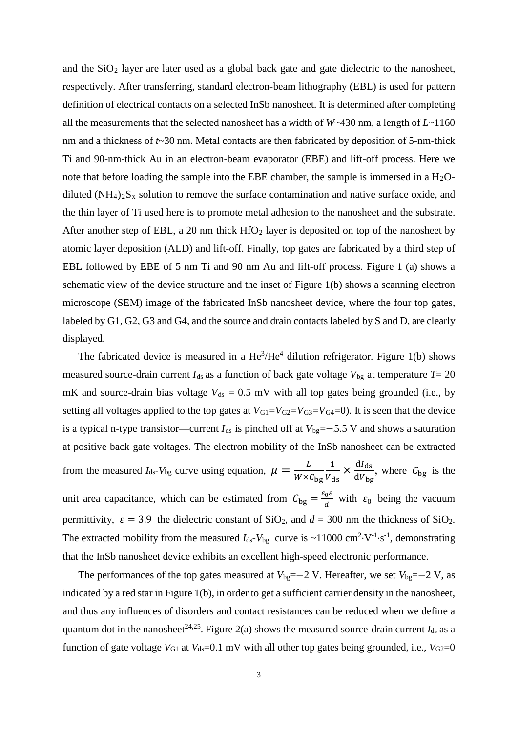and the  $SiO<sub>2</sub>$  layer are later used as a global back gate and gate dielectric to the nanosheet, respectively. After transferring, standard electron-beam lithography (EBL) is used for pattern definition of electrical contacts on a selected InSb nanosheet. It is determined after completing all the measurements that the selected nanosheet has a width of *W*~430 nm, a length of *L*~1160 nm and a thickness of *t*~30 nm. Metal contacts are then fabricated by deposition of 5-nm-thick Ti and 90-nm-thick Au in an electron-beam evaporator (EBE) and lift-off process. Here we note that before loading the sample into the EBE chamber, the sample is immersed in a  $H_2O$ diluted  $(NH_4)_2S_x$  solution to remove the surface contamination and native surface oxide, and the thin layer of Ti used here is to promote metal adhesion to the nanosheet and the substrate. After another step of EBL, a 20 nm thick  $HfO<sub>2</sub>$  layer is deposited on top of the nanosheet by atomic layer deposition (ALD) and lift-off. Finally, top gates are fabricated by a third step of EBL followed by EBE of 5 nm Ti and 90 nm Au and lift-off process. Figure 1 (a) shows a schematic view of the device structure and the inset of Figure 1(b) shows a scanning electron microscope (SEM) image of the fabricated InSb nanosheet device, where the four top gates, labeled by G1, G2, G3 and G4, and the source and drain contacts labeled by S and D, are clearly displayed.

The fabricated device is measured in a  $\text{He}^3/\text{He}^4$  dilution refrigerator. Figure 1(b) shows measured source-drain current  $I_{ds}$  as a function of back gate voltage  $V_{bg}$  at temperature  $T=20$ mK and source-drain bias voltage  $V_{ds} = 0.5$  mV with all top gates being grounded (i.e., by setting all voltages applied to the top gates at  $V_{\text{G1}}=V_{\text{G2}}=V_{\text{G3}}=V_{\text{G4}}=0$ . It is seen that the device is a typical n-type transistor—current  $I_{ds}$  is pinched off at  $V_{bg}=-5.5$  V and shows a saturation at positive back gate voltages. The electron mobility of the InSb nanosheet can be extracted from the measured  $I_{ds}$ - $V_{bg}$  curve using equation,  $\mu = \frac{L}{W \times C_{bg}}$ 1  $\frac{1}{V_{ds}} \times \frac{dl_{ds}}{dV_{bg}}$  $\frac{u_{\text{ds}}}{dv_{\text{bg}}}$ , where  $C_{\text{bg}}$  is the unit area capacitance, which can be estimated from  $C_{bg} = \frac{\varepsilon_0 \varepsilon}{d}$  with  $\varepsilon_0$  being the vacuum permittivity,  $\varepsilon = 3.9$  the dielectric constant of SiO<sub>2</sub>, and  $d = 300$  nm the thickness of SiO<sub>2</sub>. The extracted mobility from the measured  $I_{ds}$ - $V_{bg}$  curve is ~11000 cm<sup>2</sup>·V<sup>-1</sup>·s<sup>-1</sup>, demonstrating that the InSb nanosheet device exhibits an excellent high-speed electronic performance.

The performances of the top gates measured at  $V_{bg}=-2$  V. Hereafter, we set  $V_{bg}=-2$  V, as indicated by a red star in Figure 1(b), in order to get a sufficient carrier density in the nanosheet, and thus any influences of disorders and contact resistances can be reduced when we define a quantum dot in the nanosheet<sup>24,25</sup>. Figure 2(a) shows the measured source-drain current  $I_{ds}$  as a function of gate voltage  $V_{\text{G1}}$  at  $V_{\text{ds}}=0.1$  mV with all other top gates being grounded, i.e.,  $V_{\text{G2}}=0$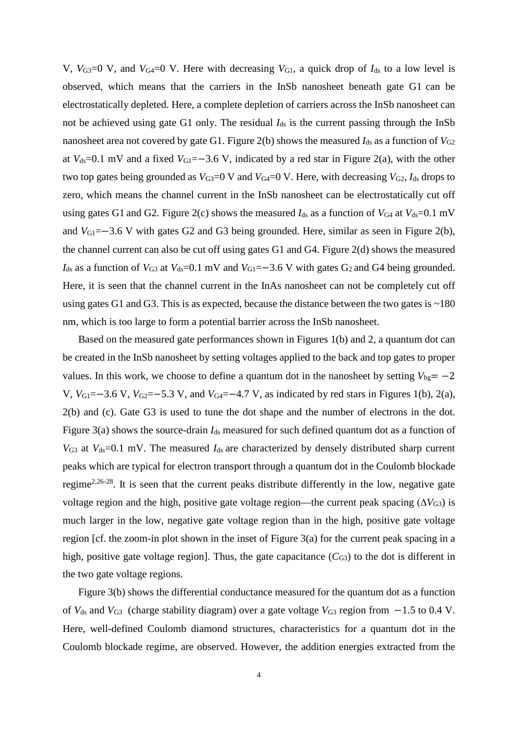V,  $V_{G3}=0$  V, and  $V_{G4}=0$  V. Here with decreasing  $V_{G1}$ , a quick drop of  $I_{ds}$  to a low level is observed, which means that the carriers in the InSb nanosheet beneath gate G1 can be electrostatically depleted. Here, a complete depletion of carriers across the InSb nanosheet can not be achieved using gate G1 only. The residual *I*ds is the current passing through the InSb nanosheet area not covered by gate G1. Figure 2(b) shows the measured  $I_{ds}$  as a function of  $V_{G2}$ at  $V_{ds}=0.1$  mV and a fixed  $V_{G1}=-3.6$  V, indicated by a red star in Figure 2(a), with the other two top gates being grounded as  $V_{G3}=0$  V and  $V_{G4}=0$  V. Here, with decreasing  $V_{G2}$ ,  $I_{ds}$  drops to zero, which means the channel current in the InSb nanosheet can be electrostatically cut off using gates G1 and G2. Figure 2(c) shows the measured  $I_{ds}$  as a function of  $V_{G4}$  at  $V_{ds}=0.1$  mV and *V*<sub>G1</sub>=−3.6 V with gates G2 and G3 being grounded. Here, similar as seen in Figure 2(b), the channel current can also be cut off using gates G1 and G4. Figure 2(d) shows the measured  $I_{ds}$  as a function of  $V_{G3}$  at  $V_{ds}=0.1$  mV and  $V_{G1}=-3.6$  V with gates  $G_2$  and G4 being grounded. Here, it is seen that the channel current in the InAs nanosheet can not be completely cut off using gates G1 and G3. This is as expected, because the distance between the two gates is  $\sim$ 180 nm, which is too large to form a potential barrier across the InSb nanosheet.

Based on the measured gate performances shown in Figures 1(b) and 2, a quantum dot can be created in the InSb nanosheet by setting voltages applied to the back and top gates to proper values. In this work, we choose to define a quantum dot in the nanosheet by setting  $V_{bg} = -2$ V,  $V_{\text{G1}}$ =−3.6 V,  $V_{\text{G2}}$ =−5.3 V, and  $V_{\text{G4}}$ =−4.7 V, as indicated by red stars in Figures 1(b), 2(a), 2(b) and (c). Gate G3 is used to tune the dot shape and the number of electrons in the dot. Figure 3(a) shows the source-drain  $I_{ds}$  measured for such defined quantum dot as a function of  $V_{G3}$  at  $V_{ds}=0.1$  mV. The measured  $I_{ds}$  are characterized by densely distributed sharp current peaks which are typical for electron transport through a quantum dot in the Coulomb blockade regime<sup>2,26-28</sup>. It is seen that the current peaks distribute differently in the low, negative gate voltage region and the high, positive gate voltage region—the current peak spacing  $(\Delta V_{G3})$  is much larger in the low, negative gate voltage region than in the high, positive gate voltage region [cf. the zoom-in plot shown in the inset of Figure 3(a) for the current peak spacing in a high, positive gate voltage region]. Thus, the gate capacitance  $(C_{G3})$  to the dot is different in the two gate voltage regions.

Figure 3(b) shows the differential conductance measured for the quantum dot as a function of *V*ds and *V*G3 (charge stability diagram) over a gate voltage *V*G3 region from −1.5 to 0.4 V. Here, well-defined Coulomb diamond structures, characteristics for a quantum dot in the Coulomb blockade regime, are observed. However, the addition energies extracted from the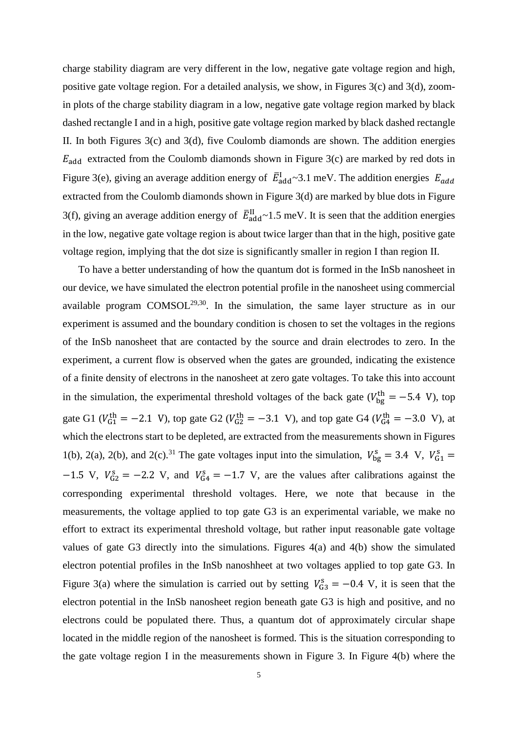charge stability diagram are very different in the low, negative gate voltage region and high, positive gate voltage region. For a detailed analysis, we show, in Figures 3(c) and 3(d), zoomin plots of the charge stability diagram in a low, negative gate voltage region marked by black dashed rectangle I and in a high, positive gate voltage region marked by black dashed rectangle II. In both Figures  $3(c)$  and  $3(d)$ , five Coulomb diamonds are shown. The addition energies  $E_{\text{add}}$  extracted from the Coulomb diamonds shown in Figure 3(c) are marked by red dots in Figure 3(e), giving an average addition energy of  $\bar{E}^1_{add} \sim 3.1$  meV. The addition energies  $E_a$ extracted from the Coulomb diamonds shown in Figure 3(d) are marked by blue dots in Figure 3(f), giving an average addition energy of  $\bar{E}_{\text{add}}^{\text{II}}$  ~1.5 meV. It is seen that the addition energies in the low, negative gate voltage region is about twice larger than that in the high, positive gate voltage region, implying that the dot size is significantly smaller in region I than region II.

To have a better understanding of how the quantum dot is formed in the InSb nanosheet in our device, we have simulated the electron potential profile in the nanosheet using commercial available program  $COMSOL<sup>29,30</sup>$ . In the simulation, the same layer structure as in our experiment is assumed and the boundary condition is chosen to set the voltages in the regions of the InSb nanosheet that are contacted by the source and drain electrodes to zero. In the experiment, a current flow is observed when the gates are grounded, indicating the existence of a finite density of electrons in the nanosheet at zero gate voltages. To take this into account in the simulation, the experimental threshold voltages of the back gate ( $V_{bg}^{th} = -5.4$  V), top gate G1 ( $V_{G1}^{th} = -2.1$  V), top gate G2 ( $V_{G2}^{th} = -3.1$  V), and top gate G4 ( $V_{G4}^{th} = -3.0$  V), at which the electrons start to be depleted, are extracted from the measurements shown in Figures 1(b), 2(a), 2(b), and 2(c).<sup>31</sup> The gate voltages input into the simulation,  $V_{bg}^s = 3.4$  V,  $V_{G1}^s =$  $-1.5$  V,  $V_{G2}^s = -2.2$  V, and  $V_{G4}^s = -1.7$  V, are the values after calibrations against the corresponding experimental threshold voltages. Here, we note that because in the measurements, the voltage applied to top gate G3 is an experimental variable, we make no effort to extract its experimental threshold voltage, but rather input reasonable gate voltage values of gate G3 directly into the simulations. Figures 4(a) and 4(b) show the simulated electron potential profiles in the InSb nanoshheet at two voltages applied to top gate G3. In Figure 3(a) where the simulation is carried out by setting  $V_{G3}^s = -0.4$  V, it is seen that the electron potential in the InSb nanosheet region beneath gate G3 is high and positive, and no electrons could be populated there. Thus, a quantum dot of approximately circular shape located in the middle region of the nanosheet is formed. This is the situation corresponding to the gate voltage region I in the measurements shown in Figure 3. In Figure 4(b) where the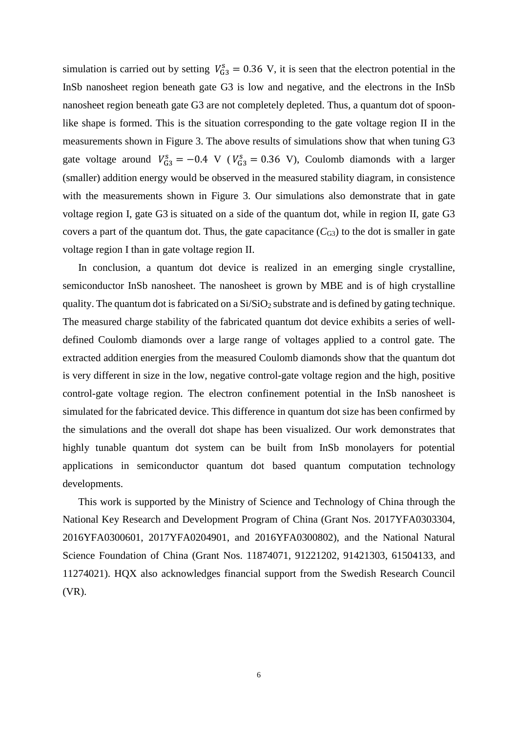simulation is carried out by setting  $V_{G3}^s = 0.36$  V, it is seen that the electron potential in the InSb nanosheet region beneath gate G3 is low and negative, and the electrons in the InSb nanosheet region beneath gate G3 are not completely depleted. Thus, a quantum dot of spoonlike shape is formed. This is the situation corresponding to the gate voltage region II in the measurements shown in Figure 3. The above results of simulations show that when tuning G3 gate voltage around  $V_{G3}^s = -0.4$  V ( $V_{G3}^s = 0.36$  V), Coulomb diamonds with a larger (smaller) addition energy would be observed in the measured stability diagram, in consistence with the measurements shown in Figure 3. Our simulations also demonstrate that in gate voltage region I, gate G3 is situated on a side of the quantum dot, while in region II, gate G3 covers a part of the quantum dot. Thus, the gate capacitance  $(C_{G3})$  to the dot is smaller in gate voltage region I than in gate voltage region II.

In conclusion, a quantum dot device is realized in an emerging single crystalline, semiconductor InSb nanosheet. The nanosheet is grown by MBE and is of high crystalline quality. The quantum dot is fabricated on a  $Si/SiO<sub>2</sub>$  substrate and is defined by gating technique. The measured charge stability of the fabricated quantum dot device exhibits a series of welldefined Coulomb diamonds over a large range of voltages applied to a control gate. The extracted addition energies from the measured Coulomb diamonds show that the quantum dot is very different in size in the low, negative control-gate voltage region and the high, positive control-gate voltage region. The electron confinement potential in the InSb nanosheet is simulated for the fabricated device. This difference in quantum dot size has been confirmed by the simulations and the overall dot shape has been visualized. Our work demonstrates that highly tunable quantum dot system can be built from InSb monolayers for potential applications in semiconductor quantum dot based quantum computation technology developments.

This work is supported by the Ministry of Science and Technology of China through the National Key Research and Development Program of China (Grant Nos. 2017YFA0303304, 2016YFA0300601, 2017YFA0204901, and 2016YFA0300802), and the National Natural Science Foundation of China (Grant Nos. 11874071, 91221202, 91421303, 61504133, and 11274021). HQX also acknowledges financial support from the Swedish Research Council (VR).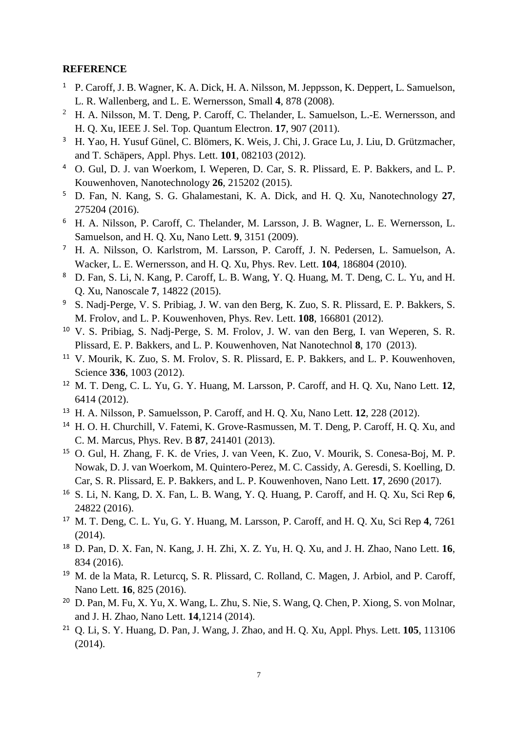## **REFERENCE**

- <sup>1</sup> P. Caroff, J. B. Wagner, K. A. Dick, H. A. Nilsson, M. Jeppsson, K. Deppert, L. Samuelson, L. R. Wallenberg, and L. E. Wernersson, Small **4**, 878 (2008).
- <sup>2</sup> H. A. Nilsson, M. T. Deng, P. Caroff, C. Thelander, L. Samuelson, L.-E. Wernersson, and H. Q. Xu, IEEE J. Sel. Top. Quantum Electron. **17**, 907 (2011).
- <sup>3</sup> H. Yao, H. Yusuf Günel, C. Blömers, K. Weis, J. Chi, J. Grace Lu, J. Liu, D. Grützmacher, and T. Schäpers, Appl. Phys. Lett. **101**, 082103 (2012).
- <sup>4</sup> O. Gul, D. J. van Woerkom, I. Weperen, D. Car, S. R. Plissard, E. P. Bakkers, and L. P. Kouwenhoven, Nanotechnology **26**, 215202 (2015).
- <sup>5</sup> D. Fan, N. Kang, S. G. Ghalamestani, K. A. Dick, and H. Q. Xu, Nanotechnology **27**, 275204 (2016).
- <sup>6</sup> H. A. Nilsson, P. Caroff, C. Thelander, M. Larsson, J. B. Wagner, L. E. Wernersson, L. Samuelson, and H. Q. Xu, Nano Lett. **9**, 3151 (2009).
- <sup>7</sup> H. A. Nilsson, O. Karlstrom, M. Larsson, P. Caroff, J. N. Pedersen, L. Samuelson, A. Wacker, L. E. Wernersson, and H. Q. Xu, Phys. Rev. Lett. **104**, 186804 (2010).
- <sup>8</sup> D. Fan, S. Li, N. Kang, P. Caroff, L. B. Wang, Y. Q. Huang, M. T. Deng, C. L. Yu, and H. Q. Xu, Nanoscale **7**, 14822 (2015).
- <sup>9</sup> S. Nadj-Perge, V. S. Pribiag, J. W. van den Berg, K. Zuo, S. R. Plissard, E. P. Bakkers, S. M. Frolov, and L. P. Kouwenhoven, Phys. Rev. Lett. **108**, 166801 (2012).
- <sup>10</sup> V. S. Pribiag, S. Nadj-Perge, S. M. Frolov, J. W. van den Berg, I. van Weperen, S. R. Plissard, E. P. Bakkers, and L. P. Kouwenhoven, Nat Nanotechnol **8**, 170 (2013).
- <sup>11</sup> V. Mourik, K. Zuo, S. M. Frolov, S. R. Plissard, E. P. Bakkers, and L. P. Kouwenhoven, Science **336**, 1003 (2012).
- <sup>12</sup> M. T. Deng, C. L. Yu, G. Y. Huang, M. Larsson, P. Caroff, and H. Q. Xu, Nano Lett. **12**, 6414 (2012).
- <sup>13</sup> H. A. Nilsson, P. Samuelsson, P. Caroff, and H. Q. Xu, Nano Lett. **12**, 228 (2012).
- <sup>14</sup> H. O. H. Churchill, V. Fatemi, K. Grove-Rasmussen, M. T. Deng, P. Caroff, H. O. Xu, and C. M. Marcus, Phys. Rev. B **87**, 241401 (2013).
- <sup>15</sup> O. Gul, H. Zhang, F. K. de Vries, J. van Veen, K. Zuo, V. Mourik, S. Conesa-Boj, M. P. Nowak, D. J. van Woerkom, M. Quintero-Perez, M. C. Cassidy, A. Geresdi, S. Koelling, D. Car, S. R. Plissard, E. P. Bakkers, and L. P. Kouwenhoven, Nano Lett. **17**, 2690 (2017).
- <sup>16</sup> S. Li, N. Kang, D. X. Fan, L. B. Wang, Y. Q. Huang, P. Caroff, and H. Q. Xu, Sci Rep **6**, 24822 (2016).
- <sup>17</sup> M. T. Deng, C. L. Yu, G. Y. Huang, M. Larsson, P. Caroff, and H. Q. Xu, Sci Rep **4**, 7261 (2014).
- <sup>18</sup> D. Pan, D. X. Fan, N. Kang, J. H. Zhi, X. Z. Yu, H. Q. Xu, and J. H. Zhao, Nano Lett. **16**, 834 (2016).
- <sup>19</sup> M. de la Mata, R. Leturcq, S. R. Plissard, C. Rolland, C. Magen, J. Arbiol, and P. Caroff, Nano Lett. **16**, 825 (2016).
- <sup>20</sup> D. Pan, M. Fu, X. Yu, X. Wang, L. Zhu, S. Nie, S. Wang, Q. Chen, P. Xiong, S. von Molnar, and J. H. Zhao, Nano Lett. **14**,1214 (2014).
- <sup>21</sup> Q. Li, S. Y. Huang, D. Pan, J. Wang, J. Zhao, and H. Q. Xu, Appl. Phys. Lett. **105**, 113106 (2014).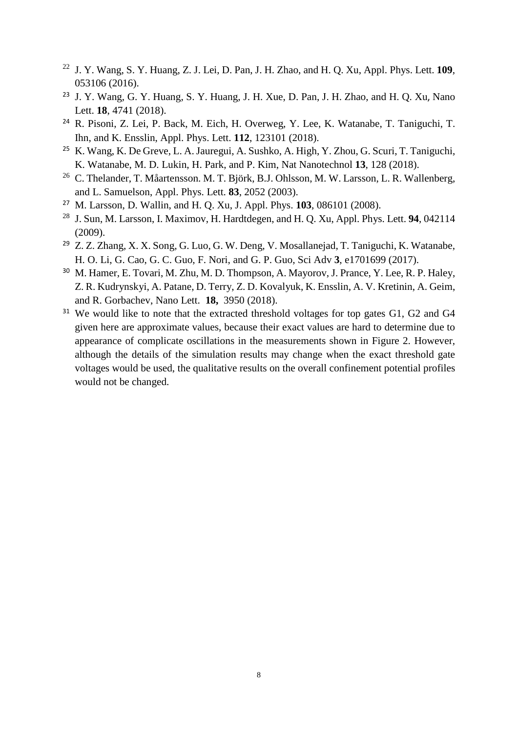- <sup>22</sup> J. Y. Wang, S. Y. Huang, Z. J. Lei, D. Pan, J. H. Zhao, and H. Q. Xu, Appl. Phys. Lett. **109**, 053106 (2016).
- <sup>23</sup> J. Y. Wang, G. Y. Huang, S. Y. Huang, J. H. Xue, D. Pan, J. H. Zhao, and H. Q. Xu, Nano Lett. **18**, 4741 (2018).
- <sup>24</sup> R. Pisoni, Z. Lei, P. Back, M. Eich, H. Overweg, Y. Lee, K. Watanabe, T. Taniguchi, T. Ihn, and K. Ensslin, Appl. Phys. Lett. **112**, 123101 (2018).
- <sup>25</sup> K. Wang, K. De Greve, L. A. Jauregui, A. Sushko, A. High, Y. Zhou, G. Scuri, T. Taniguchi, K. Watanabe, M. D. Lukin, H. Park, and P. Kim, Nat Nanotechnol **13**, 128 (2018).
- <sup>26</sup> C. Thelander, T. Måartensson. M. T. Björk, B.J. Ohlsson, M. W. Larsson, L. R. Wallenberg, and L. Samuelson, Appl. Phys. Lett. **83**, 2052 (2003).
- <sup>27</sup> M. Larsson, D. Wallin, and H. Q. Xu, J. Appl. Phys. **103**, 086101 (2008).
- <sup>28</sup> J. Sun, M. Larsson, I. Maximov, H. Hardtdegen, and H. Q. Xu, Appl. Phys. Lett. **94**, 042114 (2009).
- <sup>29</sup> Z. Z. Zhang, X. X. Song, G. Luo, G. W. Deng, V. Mosallanejad, T. Taniguchi, K. Watanabe, H. O. Li, G. Cao, G. C. Guo, F. Nori, and G. P. Guo, Sci Adv **3**, e1701699 (2017).
- <sup>30</sup> M. Hamer, E. Tovari, M. Zhu, M. D. Thompson, A. Mayorov, J. Prance, Y. Lee, R. P. Haley, Z. R. Kudrynskyi, A. Patane, D. Terry, Z. D. Kovalyuk, K. Ensslin, A. V. Kretinin, A. Geim, and R. Gorbachev, Nano Lett. **18,** 3950 (2018).
- <sup>31</sup> We would like to note that the extracted threshold voltages for top gates G1, G2 and G4 given here are approximate values, because their exact values are hard to determine due to appearance of complicate oscillations in the measurements shown in Figure 2. However, although the details of the simulation results may change when the exact threshold gate voltages would be used, the qualitative results on the overall confinement potential profiles would not be changed.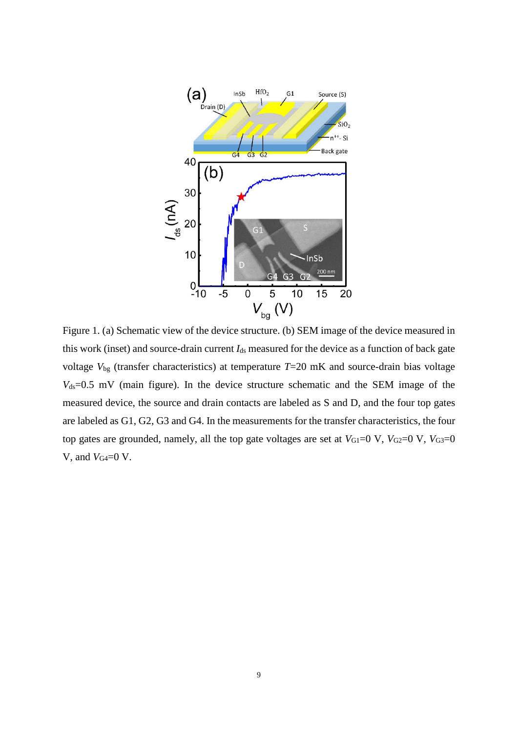

Figure 1. (a) Schematic view of the device structure. (b) SEM image of the device measured in this work (inset) and source-drain current *I*ds measured for the device as a function of back gate voltage *V*bg (transfer characteristics) at temperature *T*=20 mK and source-drain bias voltage  $V_{ds}=0.5$  mV (main figure). In the device structure schematic and the SEM image of the measured device, the source and drain contacts are labeled as S and D, and the four top gates are labeled as G1, G2, G3 and G4. In the measurements for the transfer characteristics, the four top gates are grounded, namely, all the top gate voltages are set at  $V_{\text{G1}}=0$  V,  $V_{\text{G2}}=0$  V,  $V_{\text{G3}}=0$ V, and *V*G4=0 V.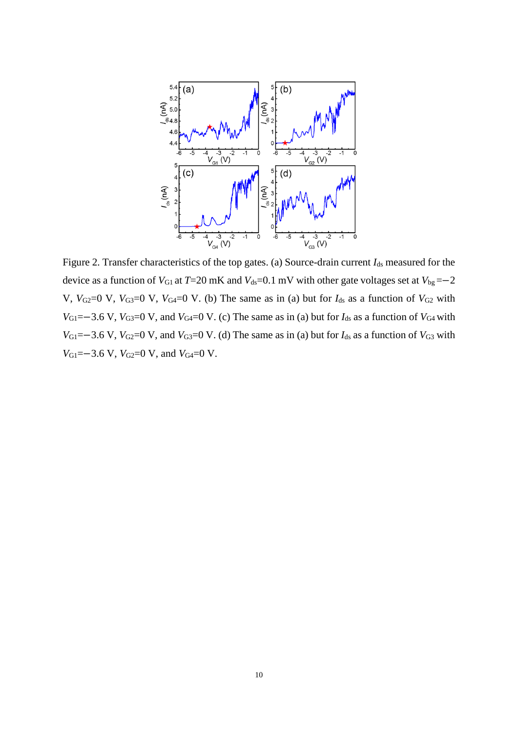

Figure 2. Transfer characteristics of the top gates. (a) Source-drain current *I*<sub>ds</sub> measured for the device as a function of *V*<sub>G1</sub> at *T*=20 mK and *V*<sub>ds</sub>=0.1 mV with other gate voltages set at *V*<sub>bg</sub> =−2 V,  $V_{G2}=0$  V,  $V_{G3}=0$  V,  $V_{G4}=0$  V. (b) The same as in (a) but for  $I_{ds}$  as a function of  $V_{G2}$  with *V*<sub>G1</sub>=−3.6 V, *V*<sub>G3</sub>=0 V, and *V*<sub>G4</sub>=0 V. (c) The same as in (a) but for  $I_{ds}$  as a function of *V*<sub>G4</sub> with *V*<sub>G1</sub>=−3.6 V, *V*<sub>G2</sub>=0 V, and *V*<sub>G3</sub>=0 V. (d) The same as in (a) but for  $I_{ds}$  as a function of *V*<sub>G3</sub> with *V*<sub>G1</sub>=−3.6 V, *V*<sub>G2</sub>=0 V, and *V*<sub>G4</sub>=0 V.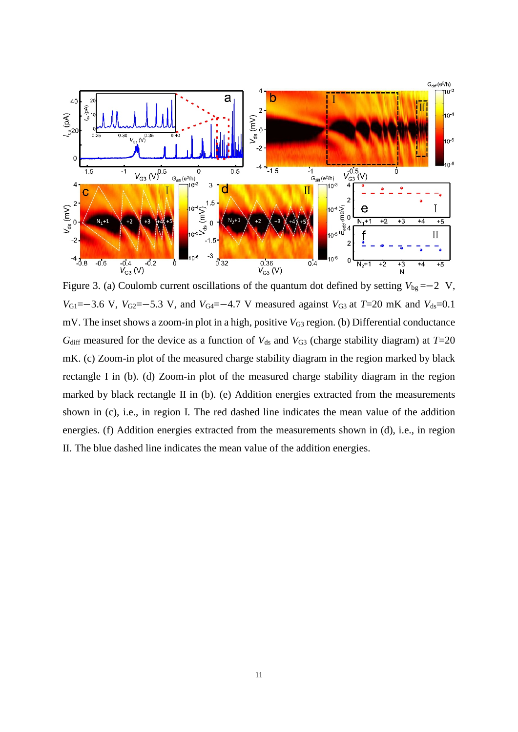

Figure 3. (a) Coulomb current oscillations of the quantum dot defined by setting *V*bg =−2 V, *V*<sub>G1</sub>=−3.6 V, *V*<sub>G2</sub>=−5.3 V, and *V*<sub>G4</sub>=−4.7 V measured against *V*<sub>G3</sub> at *T*=20 mK and *V*<sub>ds</sub>=0.1 mV. The inset shows a zoom-in plot in a high, positive *V*<sub>G3</sub> region. (b) Differential conductance  $G<sub>diff</sub>$  measured for the device as a function of  $V<sub>ds</sub>$  and  $V<sub>G3</sub>$  (charge stability diagram) at  $T=20$ mK. (c) Zoom-in plot of the measured charge stability diagram in the region marked by black rectangle I in (b). (d) Zoom-in plot of the measured charge stability diagram in the region marked by black rectangle II in (b). (e) Addition energies extracted from the measurements shown in (c), i.e., in region I. The red dashed line indicates the mean value of the addition energies. (f) Addition energies extracted from the measurements shown in (d), i.e., in region II. The blue dashed line indicates the mean value of the addition energies.